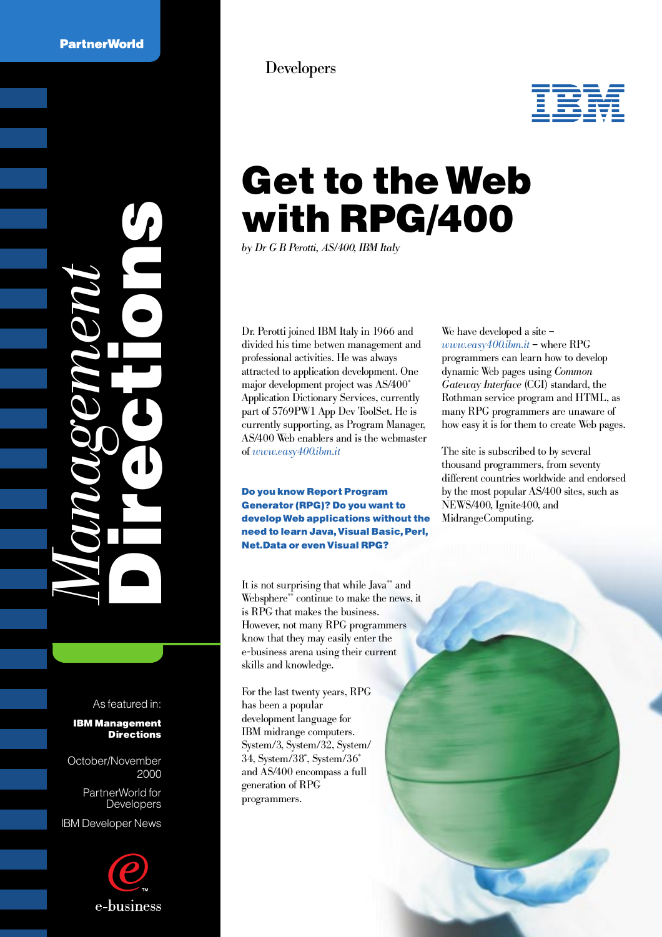



# Get to the Web with RPG/400

*by Dr G B Perotti, AS/400, IBM Italy*

Dr. Perotti joined IBM Italy in 1966 and divided his time betwen management and professional activities. He was always attracted to application development. One major development project was AS/400\* Application Dictionary Services, currently part of 5769PW1 App Dev ToolSet. He is currently supporting, as Program Manager, AS/400 Web enablers and is the webmaster of *www.easy400.ibm.it*

Do you know Report Program Generator (RPG)? Do you want to develop Web applications without the need to learn Java, Visual Basic, Perl, Net.Data or even Visual RPG?

It is not surprising that while Java\*\* and Websphere\*\*\*\* continue to make the news, it is RPG that makes the business. However, not many RPG programmers know that they may easily enter the e-business arena using their current skills and knowledge.

For the last twenty years, RPG has been a popular development language for IBM midrange computers. System/3, System/32, System/ 34, System/38\* , System/36\* and AS/400 encompass a full generation of RPG programmers.

We have developed a site – *www.easy400.ibm.it* – where RPG programmers can learn how to develop dynamic Web pages using *Common Gateway Interface* (CGI) standard, the Rothman service program and HTML, as many RPG programmers are unaware of how easy it is for them to create Web pages.

The site is subscribed to by several thousand programmers, from seventy different countries worldwide and endorsed by the most popular AS/400 sites, such as NEWS/400, Ignite400, and MidrangeComputing.

As featured in:

IBM Management **Directions** 

*Management* Directions

October/November 2000

PartnerWorld for Developers

IBM Developer News